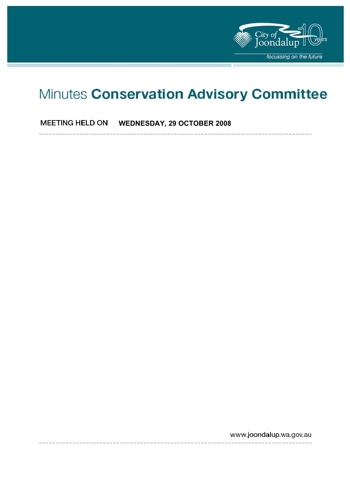

# Minutes Conservation Advisory Committee

**MEETING HELD ON WEDNESDAY, 29 OCTOBER 2008** 

www.joondalup.wa.gov.au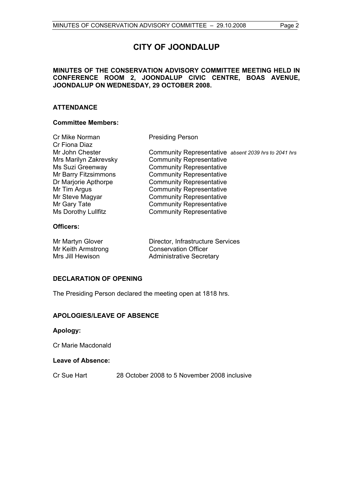### **MINUTES OF THE CONSERVATION ADVISORY COMMITTEE MEETING HELD IN CONFERENCE ROOM 2, JOONDALUP CIVIC CENTRE, BOAS AVENUE, JOONDALUP ON WEDNESDAY, 29 OCTOBER 2008.**

# **ATTENDANCE**

# **Committee Members:**

| Cr Mike Norman        | <b>Presiding Person</b>                              |
|-----------------------|------------------------------------------------------|
| Cr Fiona Diaz         |                                                      |
| Mr John Chester       | Community Representative absent 2039 hrs to 2041 hrs |
| Mrs Marilyn Zakrevsky | <b>Community Representative</b>                      |
| Ms Suzi Greenway      | <b>Community Representative</b>                      |
| Mr Barry Fitzsimmons  | <b>Community Representative</b>                      |
| Dr Marjorie Apthorpe  | <b>Community Representative</b>                      |
| Mr Tim Argus          | <b>Community Representative</b>                      |
| Mr Steve Magyar       | <b>Community Representative</b>                      |
| Mr Gary Tate          | <b>Community Representative</b>                      |
| Ms Dorothy Lullfitz   | <b>Community Representative</b>                      |
| Officers:             |                                                      |

# **Officers:**

| Mr Martyn Glover   | Director, Infrastructure Services |
|--------------------|-----------------------------------|
| Mr Keith Armstrong | <b>Conservation Officer</b>       |
| Mrs Jill Hewison   | <b>Administrative Secretary</b>   |

# **DECLARATION OF OPENING**

The Presiding Person declared the meeting open at 1818 hrs.

# **APOLOGIES/LEAVE OF ABSENCE**

# **Apology:**

Cr Marie Macdonald

# **Leave of Absence:**

Cr Sue Hart 28 October 2008 to 5 November 2008 inclusive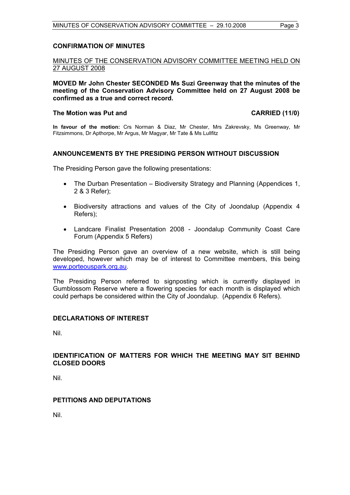#### **CONFIRMATION OF MINUTES**

# MINUTES OF THE CONSERVATION ADVISORY COMMITTEE MEETING HELD ON 27 AUGUST 2008

**MOVED Mr John Chester SECONDED Ms Suzi Greenway that the minutes of the meeting of the Conservation Advisory Committee held on 27 August 2008 be confirmed as a true and correct record.** 

#### The Motion was Put and **CARRIED** (11/0)

**In favour of the motion:** Crs Norman & Diaz, Mr Chester, Mrs Zakrevsky, Ms Greenway, Mr Fitzsimmons, Dr Apthorpe, Mr Argus, Mr Magyar, Mr Tate & Ms Lullfitz

#### **ANNOUNCEMENTS BY THE PRESIDING PERSON WITHOUT DISCUSSION**

The Presiding Person gave the following presentations:

- The Durban Presentation Biodiversity Strategy and Planning (Appendices 1, 2 & 3 Refer);
- Biodiversity attractions and values of the City of Joondalup (Appendix 4 Refers);
- Landcare Finalist Presentation 2008 Joondalup Community Coast Care Forum (Appendix 5 Refers)

The Presiding Person gave an overview of a new website, which is still being developed, however which may be of interest to Committee members, this being www.porteouspark.org.au.

The Presiding Person referred to signposting which is currently displayed in Gumblossom Reserve where a flowering species for each month is displayed which could perhaps be considered within the City of Joondalup. (Appendix 6 Refers).

#### **DECLARATIONS OF INTEREST**

Nil.

#### **IDENTIFICATION OF MATTERS FOR WHICH THE MEETING MAY SIT BEHIND CLOSED DOORS**

Nil.

# **PETITIONS AND DEPUTATIONS**

Nil.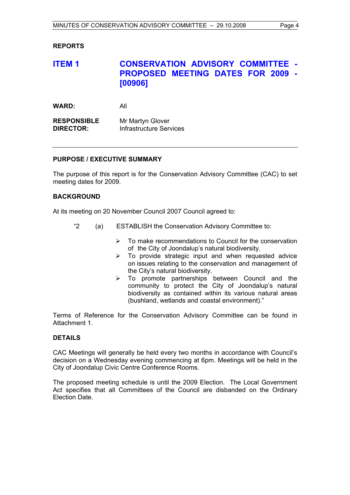# **REPORTS**

# **ITEM 1 CONSERVATION ADVISORY COMMITTEE - PROPOSED MEETING DATES FOR 2009 - [00906]**

| WARD: | All |
|-------|-----|
|       |     |

| <b>RESPONSIBLE</b> | Mr Martyn Glover        |
|--------------------|-------------------------|
| <b>DIRECTOR:</b>   | Infrastructure Services |

#### **PURPOSE / EXECUTIVE SUMMARY**

The purpose of this report is for the Conservation Advisory Committee (CAC) to set meeting dates for 2009.

#### **BACKGROUND**

At its meeting on 20 November Council 2007 Council agreed to:

- "2 (a) ESTABLISH the Conservation Advisory Committee to:
	- $\triangleright$  To make recommendations to Council for the conservation of the City of Joondalup's natural biodiversity.
	- $\triangleright$  To provide strategic input and when requested advice on issues relating to the conservation and management of the City's natural biodiversity.
	- $\triangleright$  To promote partnerships between Council and the community to protect the City of Joondalup's natural biodiversity as contained within its various natural areas (bushland, wetlands and coastal environment)."

Terms of Reference for the Conservation Advisory Committee can be found in Attachment 1.

#### **DETAILS**

CAC Meetings will generally be held every two months in accordance with Council's decision on a Wednesday evening commencing at 6pm. Meetings will be held in the City of Joondalup Civic Centre Conference Rooms.

The proposed meeting schedule is until the 2009 Election. The Local Government Act specifies that all Committees of the Council are disbanded on the Ordinary Election Date.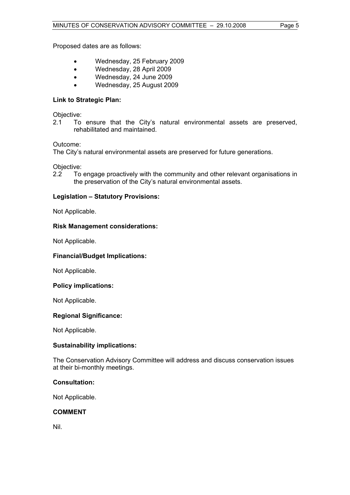Proposed dates are as follows:

- Wednesday, 25 February 2009
- Wednesday, 28 April 2009
- Wednesday, 24 June 2009
- Wednesday, 25 August 2009

# **Link to Strategic Plan:**

Objective:

2.1 To ensure that the City's natural environmental assets are preserved, rehabilitated and maintained.

# Outcome:

The City's natural environmental assets are preserved for future generations.

Objective:

2.2 To engage proactively with the community and other relevant organisations in the preservation of the City's natural environmental assets.

# **Legislation – Statutory Provisions:**

Not Applicable.

# **Risk Management considerations:**

Not Applicable.

# **Financial/Budget Implications:**

Not Applicable.

# **Policy implications:**

Not Applicable.

# **Regional Significance:**

Not Applicable.

# **Sustainability implications:**

The Conservation Advisory Committee will address and discuss conservation issues at their bi-monthly meetings.

# **Consultation:**

Not Applicable.

# **COMMENT**

Nil.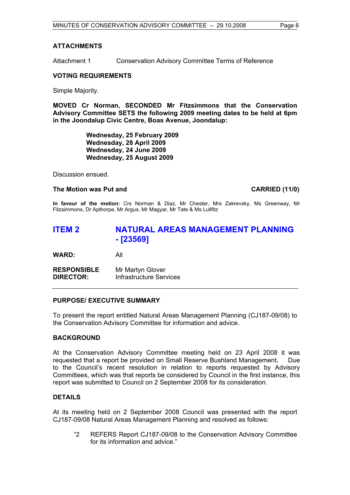#### **ATTACHMENTS**

Attachment 1 Conservation Advisory Committee Terms of Reference

#### **VOTING REQUIREMENTS**

Simple Majority.

**MOVED Cr Norman, SECONDED Mr Fitzsimmons that the Conservation Advisory Committee SETS the following 2009 meeting dates to be held at 6pm in the Joondalup Civic Centre, Boas Avenue, Joondalup:** 

> **Wednesday, 25 February 2009 Wednesday, 28 April 2009 Wednesday, 24 June 2009 Wednesday, 25 August 2009**

Discussion ensued.

#### The Motion was Put and **CARRIED** (11/0)

**In favour of the motion:** Crs Norman & Diaz, Mr Chester, Mrs Zakrevsky, Ms Greenway, Mr Fitzsimmons, Dr Apthorpe, Mr Argus, Mr Magyar, Mr Tate & Ms Lullfitz

# **ITEM 2 NATURAL AREAS MANAGEMENT PLANNING - [23569]**

**WARD:** All

**RESPONSIBLE** Mr Martyn Glover **DIRECTOR:** Infrastructure Services

# **PURPOSE/ EXECUTIVE SUMMARY**

To present the report entitled Natural Areas Management Planning (CJ187-09/08) to the Conservation Advisory Committee for information and advice.

# **BACKGROUND**

At the Conservation Advisory Committee meeting held on 23 April 2008 it was requested that a report be provided on Small Reserve Bushland Management**.** Due to the Council's recent resolution in relation to reports requested by Advisory Committees, which was that reports be considered by Council in the first instance, this report was submitted to Council on 2 September 2008 for its consideration.

# **DETAILS**

At its meeting held on 2 September 2008 Council was presented with the report CJ187-09/08 Natural Areas Management Planning and resolved as follows:

"2 REFERS Report CJ187-09/08 to the Conservation Advisory Committee for its information and advice."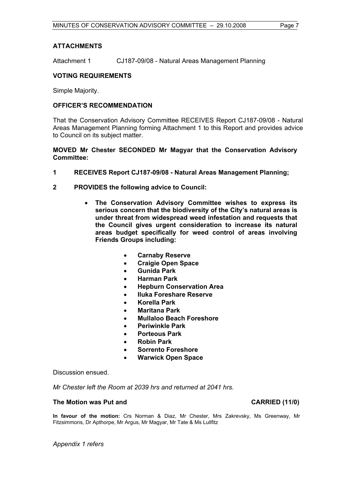### **ATTACHMENTS**

Attachment 1 CJ187-09/08 - Natural Areas Management Planning

### **VOTING REQUIREMENTS**

Simple Majority.

#### **OFFICER'S RECOMMENDATION**

That the Conservation Advisory Committee RECEIVES Report CJ187-09/08 - Natural Areas Management Planning forming Attachment 1 to this Report and provides advice to Council on its subject matter.

#### **MOVED Mr Chester SECONDED Mr Magyar that the Conservation Advisory Committee:**

- **1 RECEIVES Report CJ187-09/08 Natural Areas Management Planning;**
- **2 PROVIDES the following advice to Council:** 
	- **The Conservation Advisory Committee wishes to express its serious concern that the biodiversity of the City's natural areas is under threat from widespread weed infestation and requests that the Council gives urgent consideration to increase its natural areas budget specifically for weed control of areas involving Friends Groups including:** 
		- **Carnaby Reserve**
		- **Craigie Open Space**
		- **Gunida Park**
		- **Harman Park**
		- **Hepburn Conservation Area**
		- **Iluka Foreshare Reserve**
		- **Korella Park**
		- **Maritana Park**
		- **Mullaloo Beach Foreshore**
		- **Periwinkle Park**
		- **Porteous Park**
		- **Robin Park**
		- **Sorrento Foreshore**
		- **Warwick Open Space**

Discussion ensued.

*Mr Chester left the Room at 2039 hrs and returned at 2041 hrs.* 

### **The Motion was Put and CARRIED (11/0)**

**In favour of the motion:** Crs Norman & Diaz, Mr Chester, Mrs Zakrevsky, Ms Greenway, Mr Fitzsimmons, Dr Apthorpe, Mr Argus, Mr Magyar, Mr Tate & Ms Lullfitz

*Appendix 1 refers*